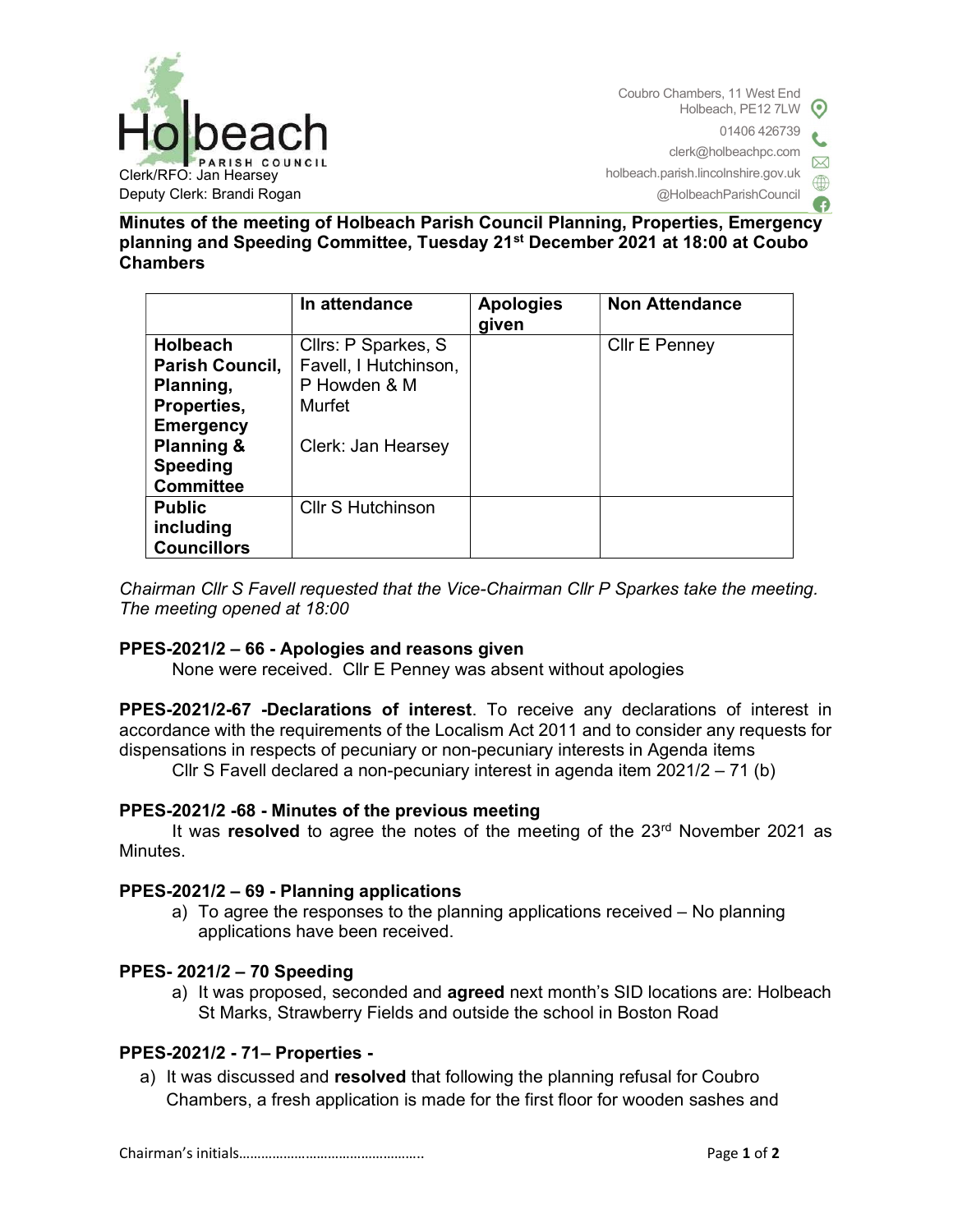

@HolbeachParishCouncil

Minutes of the meeting of Holbeach Parish Council Planning, Properties, Emergency planning and Speeding Committee, Tuesday 21st December 2021 at 18:00 at Coubo Chambers

|                                                                                                                                | In attendance                                                                                | <b>Apologies</b><br>given | <b>Non Attendance</b> |
|--------------------------------------------------------------------------------------------------------------------------------|----------------------------------------------------------------------------------------------|---------------------------|-----------------------|
| <b>Holbeach</b><br>Parish Council,<br>Planning,<br>Properties,<br><b>Emergency</b><br><b>Planning &amp;</b><br><b>Speeding</b> | Cllrs: P Sparkes, S<br>Favell, I Hutchinson,<br>P Howden & M<br>Murfet<br>Clerk: Jan Hearsey |                           | Cllr E Penney         |
| <b>Committee</b>                                                                                                               |                                                                                              |                           |                       |
| <b>Public</b>                                                                                                                  | <b>CIIr S Hutchinson</b>                                                                     |                           |                       |
| including<br><b>Councillors</b>                                                                                                |                                                                                              |                           |                       |

Chairman Cllr S Favell requested that the Vice-Chairman Cllr P Sparkes take the meeting. The meeting opened at 18:00

## PPES-2021/2 – 66 - Apologies and reasons given

None were received. Cllr E Penney was absent without apologies

PPES-2021/2-67 -Declarations of interest. To receive any declarations of interest in accordance with the requirements of the Localism Act 2011 and to consider any requests for dispensations in respects of pecuniary or non-pecuniary interests in Agenda items

Cllr S Favell declared a non-pecuniary interest in agenda item 2021/2 – 71 (b)

## PPES-2021/2 -68 - Minutes of the previous meeting

It was resolved to agree the notes of the meeting of the  $23<sup>rd</sup>$  November 2021 as Minutes.

#### PPES-2021/2 – 69 - Planning applications

a) To agree the responses to the planning applications received – No planning applications have been received.

#### PPES- 2021/2 – 70 Speeding

a) It was proposed, seconded and **agreed** next month's SID locations are: Holbeach St Marks, Strawberry Fields and outside the school in Boston Road

## PPES-2021/2 - 71– Properties -

a) It was discussed and resolved that following the planning refusal for Coubro Chambers, a fresh application is made for the first floor for wooden sashes and

Chairman's initials………………………………………….. Page 1 of 2